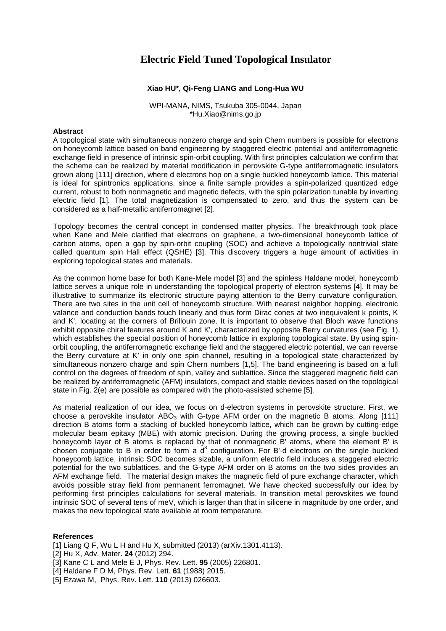## **Electric Field Tuned Topological Insulator**

## **Xiao HU\*, Qi-Feng LIANG and Long-Hua WU**

WPI-MANA, NIMS, Tsukuba 305-0044, Japan \*Hu.Xiao@nims.go.jp

## **Abstract**

A topological state with simultaneous nonzero charge and spin Chern numbers is possible for electrons on honeycomb lattice based on band engineering by staggered electric potential and antiferromagnetic exchange field in presence of intrinsic spin-orbit coupling. With first principles calculation we confirm that the scheme can be realized by material modification in perovskite G-type antiferromagnetic insulators grown along [111] direction, where d electrons hop on a single buckled honeycomb lattice. This material is ideal for spintronics applications, since a finite sample provides a spin-polarized quantized edge current, robust to both nonmagnetic and magnetic defects, with the spin polarization tunable by inverting electric field [1]. The total magnetization is compensated to zero, and thus the system can be considered as a half-metallic antiferromagnet [2].

Topology becomes the central concept in condensed matter physics. The breakthrough took place when Kane and Mele clarified that electrons on graphene, a two-dimensional honeycomb lattice of carbon atoms, open a gap by spin-orbit coupling (SOC) and achieve a topologically nontrivial state called quantum spin Hall effect (QSHE) [3]. This discovery triggers a huge amount of activities in exploring topological states and materials.

As the common home base for both Kane-Mele model [3] and the spinless Haldane model, honeycomb lattice serves a unique role in understanding the topological property of electron systems [4]. It may be illustrative to summarize its electronic structure paying attention to the Berry curvature configuration. There are two sites in the unit cell of honeycomb structure. With nearest neighbor hopping, electronic valance and conduction bands touch linearly and thus form Dirac cones at two inequivalent k points, K and K', locating at the corners of Brillouin zone. It is important to observe that Bloch wave functions exhibit opposite chiral features around K and K', characterized by opposite Berry curvatures (see Fig. 1), which establishes the special position of honeycomb lattice in exploring topological state. By using spinorbit coupling, the antiferromagnetic exchange field and the staggered electric potential, we can reverse the Berry curvature at K' in only one spin channel, resulting in a topological state characterized by simultaneous nonzero charge and spin Chern numbers [1,5]. The band engineering is based on a full control on the degrees of freedom of spin, valley and sublattice. Since the staggered magnetic field can be realized by antiferromagnetic (AFM) insulators, compact and stable devices based on the topological state in Fig. 2(e) are possible as compared with the photo-assisted scheme [5].

As material realization of our idea, we focus on d-electron systems in perovskite structure. First, we choose a perovskite insulator  $ABO<sub>3</sub>$  with G-type AFM order on the magnetic B atoms. Along [111] direction B atoms form a stacking of buckled honeycomb lattice, which can be grown by cutting-edge molecular beam epitaxy (MBE) with atomic precision. During the growing process, a single buckled honeycomb layer of B atoms is replaced by that of nonmagnetic B' atoms, where the element B' is chosen conjugate to B in order to form a  $d^8$  configuration. For B'-d electrons on the single buckled honeycomb lattice, intrinsic SOC becomes sizable, a uniform electric field induces a staggered electric potential for the two sublattices, and the G-type AFM order on B atoms on the two sides provides an AFM exchange field. The material design makes the magnetic field of pure exchange character, which avoids possible stray field from permanent ferromagnet. We have checked successfully our idea by performing first principles calculations for several materials. In transition metal perovskites we found intrinsic SOC of several tens of meV, which is larger than that in silicene in magnitude by one order, and makes the new topological state available at room temperature.

## **References**

- [1] Liang Q F, Wu L H and Hu X, submitted (2013) (arXiv.1301.4113).
- [2] Hu X, Adv. Mater. **24** (2012) 294.
- [3] Kane C L and Mele E J, Phys. Rev. Lett. **95** (2005) 226801.
- [4] Haldane F D M, Phys. Rev. Lett. **61** (1988) 2015.
- [5] Ezawa M, Phys. Rev. Lett. **110** (2013) 026603.